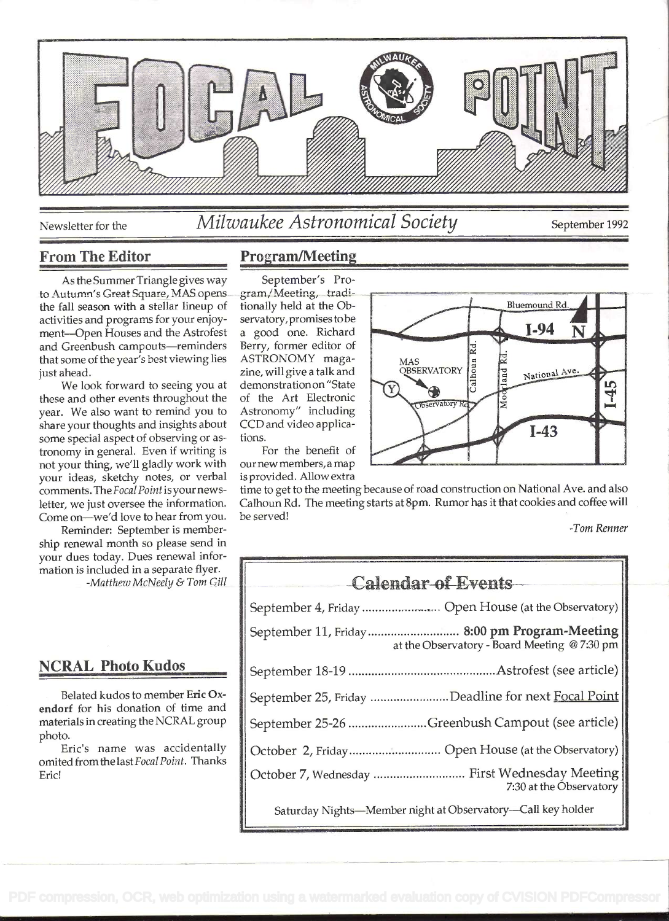

Newsletter for the *Milwaukee Astronomical Society* september 1992

### From The Editor

As the Summer Triangle gives way to Autumn's Great Square, MAS opens the fall season with a stellar lineup of activities and programs for your enjoyment-Open Houses and the Astrofest and Greenbush campouts-reminders that some of the year's best viewing lies just ahead.

We look forward to seeing you at these and other events throughout the year. We also want to remind you to share your thoughts and insights about some special aspect of observing or astronomy in general. Even if writing is not your thing, we'll gladly work with your ideas, sketchy notes, or verbal comments. TheFocal Point is your newsletter, we just oversee the information. Come on-we'd love to hear from you.

Reminder: September is membership renewal month so please send in your dues today. Dues renewal information is included in a separate flyer. -Matthew McNeely & Tom Gill

# NCRAL Photo Kudos

Belated kudos to member Eric Oxendorf for his donation of time and materials in creating the NCRAL group photo.

Eric's name was accidentally omited from the last Focal Point. Thanks Eric!

# Program/Meeting

September's Program/Meeting, tradìtionally held at the Observatory, promises tobe a good one. Richard Berry, former editor of ASTRONOMY magazine, will give a talk and demonstration on "State of the Art Electronic Astronomy" including CCD and video applications.

For the benefit of our new members. a may is provided. Allow extra

time to get to the meeting because of road construction on National Ave. and also Calhoun Rd. The meeting starts at 8pm. Rumor has it that cookies and coffee will be served!

-Tom Renner

| <b>Calendar of Events</b>                                                                    |
|----------------------------------------------------------------------------------------------|
| September 4, Friday  Open House (at the Observatory)                                         |
| September 11, Friday 8:00 pm Program-Meeting<br>at the Observatory - Board Meeting @ 7:30 pm |
|                                                                                              |
| September 25, Friday Deadline for next Focal Point                                           |
| September 25-26 Greenbush Campout (see article)                                              |
| October 2, Friday Open House (at the Observatory)                                            |
| October 7, Wednesday  First Wednesday Meeting<br>7:30 at the Observatory                     |
| Saturday Nights-Member night at Observatory-Call key holder                                  |